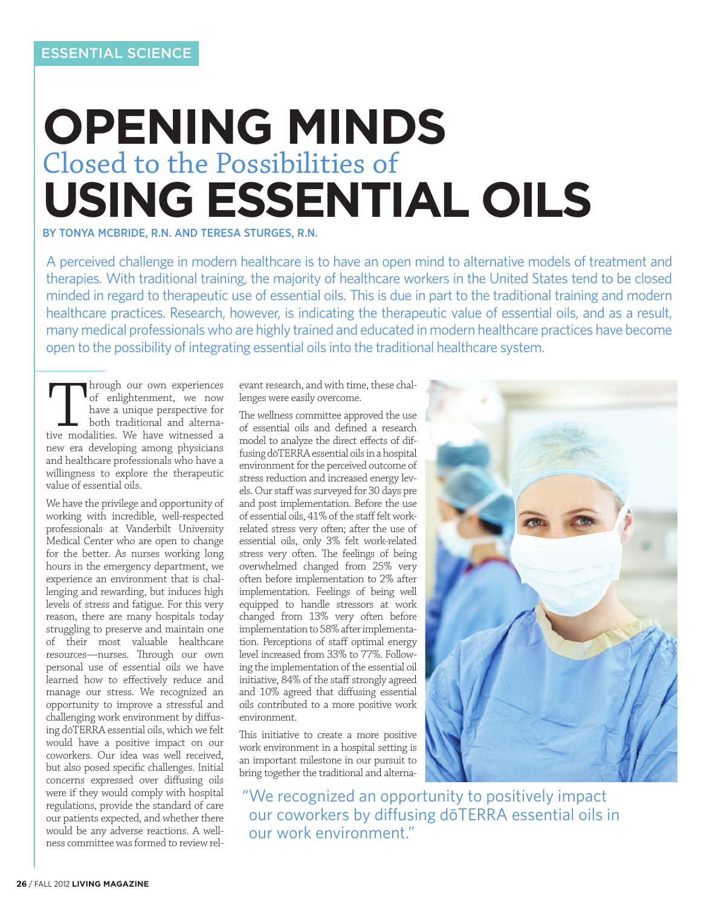# **OPENING MINDS** Closed to the Possibilities of **USING ESSENTIAL OILS**

BY TONYA MCBRIDE, R.N. AND TERESA STURGES, R.N.

A perceived challenge in modern healthcare is to have an open mind to alternative models of treatment and therapies. With traditional training, the majority of healthcare workers in the United States tend to be closed minded in regard to therapeutic use of essential oils. This is due in part to the traditional training and modern healthcare practices. Research, however, is indicating the therapeutic value of essential oils, and as a result, many medical professionals who are highly trained and educated in modern healthcare practices have become open to the possibility of integrating essential oils into the traditional healthcare system.

Through our own experiences<br>
of enlightenment, we now<br>
have a unique perspective for<br>
both traditional and alterna-<br>
tive modalities. We have witnessed a of enlightenment, we now have a unique perspective for both traditional and alternanew era developing among physicians and healthcare professionals who have a willingness to explore the therapeutic value of essential oils.

We have the privilege and opportunity of working with incredible, well-respected professionals at Vanderbilt University Medical Center who are open to change for the better. As nurses working long hours in the emergency department, we experience an environment that is challenging and rewarding, but induces high levels of stress and fatigue. For this very reason, there are many hospitals today struggling to preserve and maintain one of their most valuable healthcare resources—nurses. Through our own personal use of essential oils we have learned how to effectively reduce and manage our stress. We recognized an opportunity to improve a stressful and challenging work environment by diffusing dōTERRA essential oils, which we felt would have a positive impact on our coworkers. Our idea was well received, but also posed specific challenges. Initial concerns expressed over diffusing oils were if they would comply with hospital regulations, provide the standard of care our patients expected, and whether there would be any adverse reactions. A wellness committee was formed to review relevant research, and with time, these challenges were easily overcome.

The wellness committee approved the use of essential oils and defined a research model to analyze the direct effects of diffusing dōTERRA essential oils in a hospital environment for the perceived outcome of stress reduction and increased energy levels. Our staff was surveyed for 30 days pre and post implementation. Before the use of essential oils, 41% of the staff felt workrelated stress very often; after the use of essential oils, only 3% felt work-related stress very often. The feelings of being overwhelmed changed from 25% very often before implementation to 2% after implementation. Feelings of being well equipped to handle stressors at work changed from 13% very often before implementation to 58% after implementation. Perceptions of staff optimal energy level increased from 33% to 77%. Following the implementation of the essential oil initiative, 84% of the staff strongly agreed and 10% agreed that diffusing essential oils contributed to a more positive work environment.

This initiative to create a more positive work environment in a hospital setting is an important milestone in our pursuit to bring together the traditional and alterna-



"We recognized an opportunity to positively impact our coworkers by diffusing dōTERRA essential oils in our work environment."